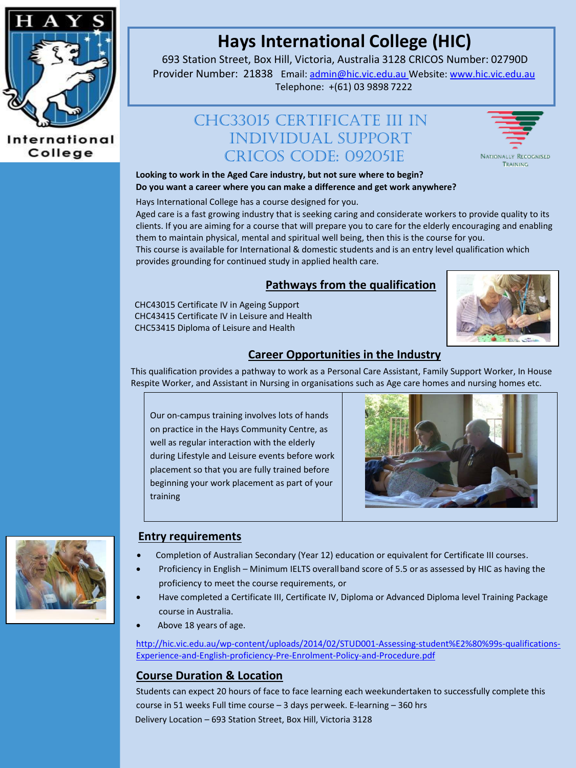

## International College

# **Hays International College (HIC)**

693 Station Street, Box Hill, Victoria, Australia 3128 CRICOS Number: 02790D

Provider Number: 21838 Email[: admin@hic.vic.edu.au](mailto:admin@hic.vic.edu.au) Website[: www.hic.vic.edu.au](http://www.hic.vic.edu.au/) Telephone: +(61) 03 9898 7222

## CHC33015 Certificate III In INDIVIDUAL SUPPORT CRICOS CODE: 092051E



**Looking to work in the Aged Care industry, but not sure where to begin? Do you want a career where you can make a difference and get work anywhere?**

Hays International College has a course designed for you.

Aged care is a fast growing industry that is seeking caring and considerate workers to provide quality to its clients. If you are aiming for a course that will prepare you to care for the elderly encouraging and enabling them to maintain physical, mental and spiritual well being, then this is the course for you.

This course is available for International & domestic students and is an entry level qualification which provides grounding for continued study in applied health care.

## **Pathways from the qualification**

CHC43015 Certificate IV in Ageing Support CHC43415 Certificate IV in Leisure and Health CHC53415 Diploma of Leisure and Health



## **Career Opportunities in the Industry**

This qualification provides a pathway to work as a Personal Care Assistant, Family Support Worker, In House Respite Worker, and Assistant in Nursing in organisations such as Age care homes and nursing homes etc.

Our on-campus training involves lots of hands on practice in the Hays Community Centre, as well as regular interaction with the elderly during Lifestyle and Leisure events before work placement so that you are fully trained before beginning your work placement as part of your training





#### **Entry requirements**

- Completion of Australian Secondary (Year 12) education or equivalent for Certificate III courses.
- Proficiency in English Minimum IELTS overallband score of 5.5 or as assessed by HIC as having the proficiency to meet the course requirements, or
- Have completed a Certificate III, Certificate IV, Diploma or Advanced Diploma level Training Package course in Australia.
- Above 18 years of age.

[http://hic.vic.edu.au/wp-content/uploads/2014/02/STUD001-Assessing-student%E2%80%99s-qualifications-](http://hic.vic.edu.au/wp-content/uploads/2014/02/STUD001-Assessing-student%E2%80%99s-qualifications-Experience-and-English-proficiency-Pre-Enrolment-Policy-and-Procedure.pdf)[Experience-and-English-proficiency-Pre-Enrolment-Policy-and-Procedure.pdf](http://hic.vic.edu.au/wp-content/uploads/2014/02/STUD001-Assessing-student%E2%80%99s-qualifications-Experience-and-English-proficiency-Pre-Enrolment-Policy-and-Procedure.pdf)

## **Course Duration & Location**

Students can expect 20 hours of face to face learning each weekundertaken to successfully complete this course in 51 weeks Full time course – 3 days perweek. E-learning – 360 hrs Delivery Location – 693 Station Street, Box Hill, Victoria 3128